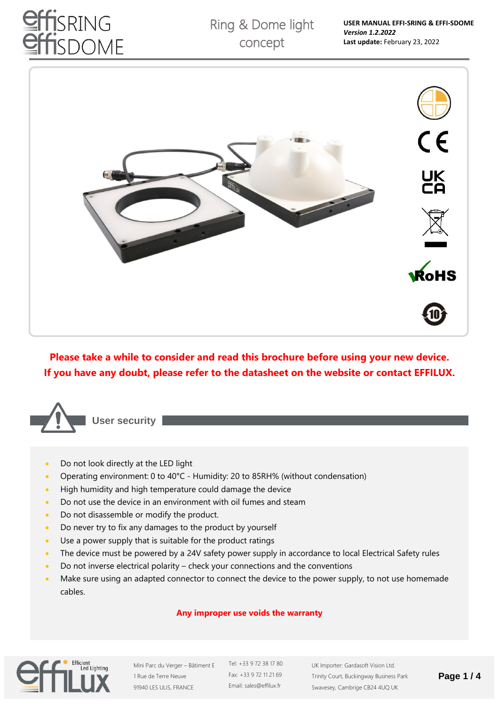# **ISRING** SDOME



**Please take a while to consider and read this brochure before using your new device. If you have any doubt, please refer to the datasheet on the website or contact EFFILUX.**



• Do not look directly at the LED light

- Operating environment: 0 to 40°C Humidity: 20 to 85RH% (without condensation)
- High humidity and high temperature could damage the device
- Do not use the device in an environment with oil fumes and steam
- Do not disassemble or modify the product.
- Do never try to fix any damages to the product by yourself
- Use a power supply that is suitable for the product ratings
- The device must be powered by a 24V safety power supply in accordance to local Electrical Safety rules
- Do not inverse electrical polarity check your connections and the conventions
- Make sure using an adapted connector to connect the device to the power supply, to not use homemade cables.

## **Any improper use voids the warranty**



Mini Parc du Verger – Bâtiment E 1 Rue de Terre Neuve 91940 LES ULIS, FRANCE

Tel: +33 9 72 38 17 80 Fax: +33 9 72 11 21 69 Email: sales@effilux.fr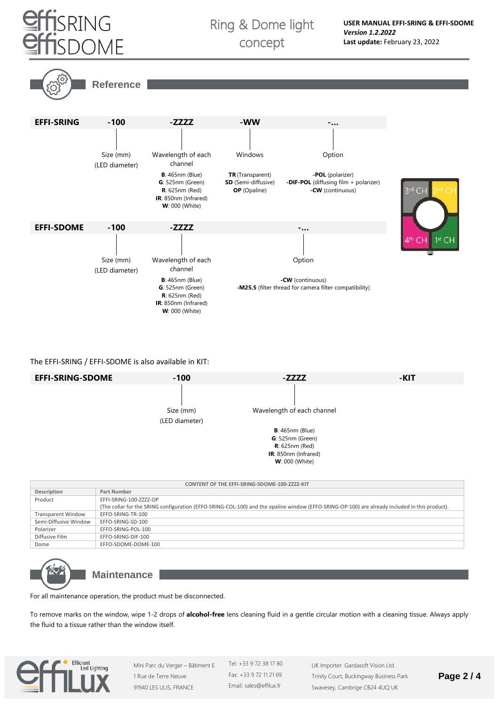

## Ring & Dome light concept





The EFFI-SRING / EFFI-SDOME is also available in KIT:



| <b>CONTENT OF THE EFFI-SRING-SDOME-100-ZZZZ-KIT</b> |                                                                                                                                                |  |  |  |
|-----------------------------------------------------|------------------------------------------------------------------------------------------------------------------------------------------------|--|--|--|
| Description                                         | <b>Part Number</b>                                                                                                                             |  |  |  |
| Product                                             | EFFI-SRING-100-ZZZZ-OP                                                                                                                         |  |  |  |
|                                                     | (The collar for the SRING configuration (EFFO-SRING-COL-100) and the opaline window (EFFO-SRING-OP-100) are already included in this product). |  |  |  |
| <b>Transparent Window</b>                           | EFFO-SRING-TR-100                                                                                                                              |  |  |  |
| Semi-Diffusive Window                               | EFFO-SRING-SD-100                                                                                                                              |  |  |  |
| Polarizer                                           | EFFO-SRING-POL-100                                                                                                                             |  |  |  |
| Diffusive Film                                      | EFFO-SRING-DIF-100                                                                                                                             |  |  |  |
| Dome                                                | EFFO-SDOME-DOME-100                                                                                                                            |  |  |  |



**Maintenance**

For all maintenance operation, the product must be disconnected.

To remove marks on the window, wipe 1-2 drops of **alcohol-free** lens cleaning fluid in a gentle circular motion with a cleaning tissue. Always apply the fluid to a tissue rather than the window itself.



Mini Parc du Verger – Bâtiment E 1 Rue de Terre Neuve 91940 LES ULIS, FRANCE

Tel: +33 9 72 38 17 80 Fax: +33 9 72 11 21 69 Email: sales@effilux.fr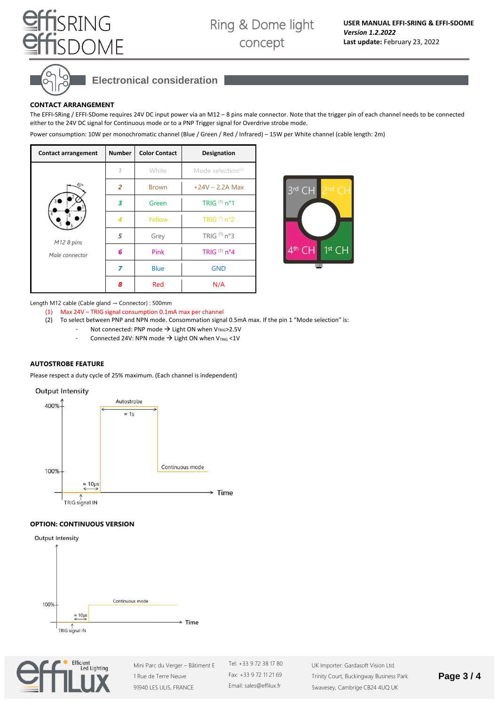

## **Electronical consideration**

## **CONTACT ARRANGEMENT**

SRING

**DMF** 

The EFFI-SRing / EFFI-SDome requires 24V DC input power via an M12 – 8 pins male connector. Note that the trigger pin of each channel needs to be connected either to the 24V DC signal for Continuous mode or to a PNP Trigger signal for Overdrive strobe mode.

Power consumption: 10W per monochromatic channel (Blue / Green / Red / Infrared) – 15W per White channel (cable length: 2m)

| <b>Contact arrangement</b> | <b>Number</b> | <b>Color Contact</b> | Designation          |
|----------------------------|---------------|----------------------|----------------------|
|                            |               | White                | Mode selection $(2)$ |
|                            | 2             | <b>Brown</b>         | $+24V - 2.2A$ Max    |
|                            | 3             | Green                | TRIG $(1)$ n°1       |
|                            | 4             | Yellow               | TRIG $(1)$ n°2       |
| M12 8 pins                 | 5             | Grey                 | TRIG (1) n°3         |
| Male connector             | 6             | Pink                 | TRIG $(1)$ n°4       |
|                            | 7             | <b>Blue</b>          | <b>GND</b>           |
|                            | 8             | Red                  | N/A                  |



Length M12 cable (Cable gland → Connector) : 500mm

- (1) Max 24V TRIG signal consumption 0.1mA max per channel
- (2) To select between PNP and NPN mode. Consommation signal 0.5mA max. If the pin 1 "Mode selection" is: Not connected: PNP mode  $\rightarrow$  Light ON when V<sub>TRIG</sub>>2.5V
	- Connected 24V: NPN mode  $\rightarrow$  Light ON when V<sub>TRIG</sub> <1V

### **AUTOSTROBE FEATURE**

Please respect a duty cycle of 25% maximum. (Each channel is independent)





## **OPTION: CONTINUOUS VERSION**





Mini Parc du Verger – Bâtiment E 1 Rue de Terre Neuve 91940 LES ULIS, FRANCE

Tel: +33 9 72 38 17 80 Fax: +33 9 72 11 21 69 Email: sales@effilux.fr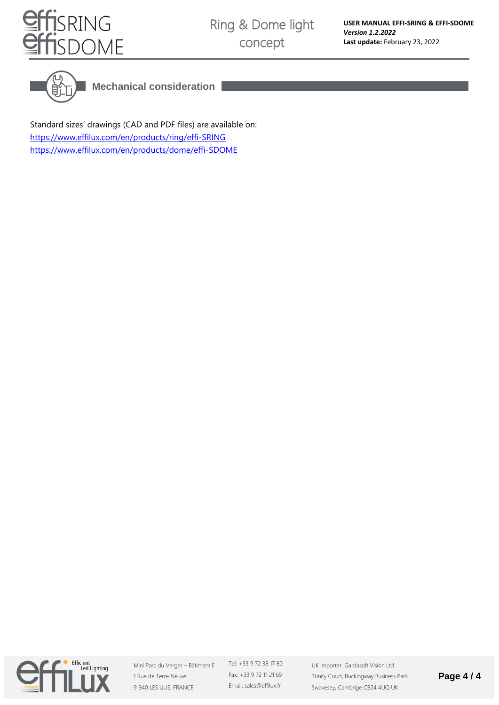



**Mechanical consideration**

Standard sizes' drawings (CAD and PDF files) are available on: <https://www.effilux.com/en/products/ring/effi-SRING> <https://www.effilux.com/en/products/dome/effi-SDOME>



Mini Parc du Verger – Bâtiment E 1 Rue de Terre Neuve 91940 LES ULIS, FRANCE

Tel: +33 9 72 38 17 80 Fax: +33 9 72 11 21 69 Email: sales@effilux.fr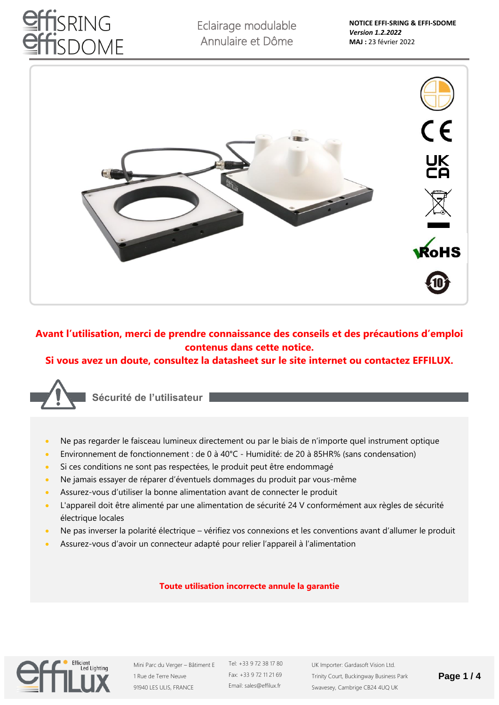# **ISRING** SDOME

Eclairage modulable Annulaire et Dôme



## **Avant l'utilisation, merci de prendre connaissance des conseils et des précautions d'emploi contenus dans cette notice.**

## **Si vous avez un doute, consultez la datasheet sur le site internet ou contactez EFFILUX.**



**Sécurité de l'utilisateur**

- Ne pas regarder le faisceau lumineux directement ou par le biais de n'importe quel instrument optique
- Environnement de fonctionnement : de 0 à 40°C Humidité: de 20 à 85HR% (sans condensation)
- Si ces conditions ne sont pas respectées, le produit peut être endommagé
- Ne jamais essayer de réparer d'éventuels dommages du produit par vous-même
- Assurez-vous d'utiliser la bonne alimentation avant de connecter le produit
- L'appareil doit être alimenté par une alimentation de sécurité 24 V conformément aux règles de sécurité électrique locales
- Ne pas inverser la polarité électrique vérifiez vos connexions et les conventions avant d'allumer le produit
- Assurez-vous d'avoir un connecteur adapté pour relier l'appareil à l'alimentation

## **Toute utilisation incorrecte annule la garantie**



Mini Parc du Verger – Bâtiment E 1 Rue de Terre Neuve 91940 LES ULIS, FRANCE

Tel: +33 9 72 38 17 80 Fax: +33 9 72 11 21 69 Email: sales@effilux.fr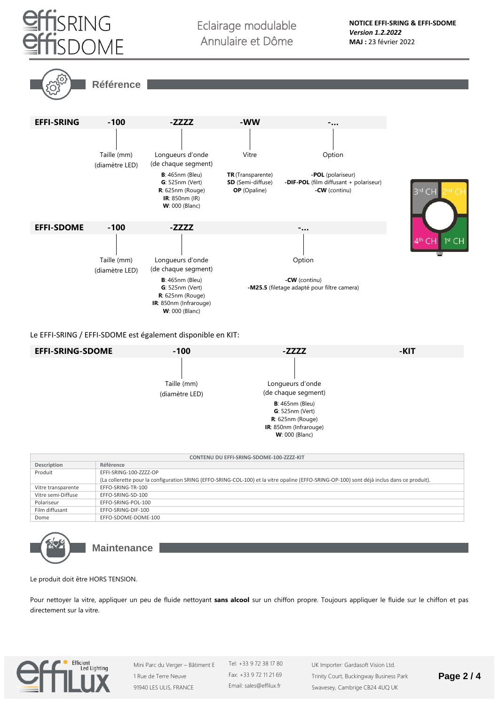

Eclairage modulable Annulaire et Dôme





Le EFFI-SRING / EFFI-SDOME est également disponible en KIT:



| CONTENU DU EFFI-SRING-SDOME-100-ZZZZ-KIT |                                                                                                                                            |  |  |  |
|------------------------------------------|--------------------------------------------------------------------------------------------------------------------------------------------|--|--|--|
| Description                              | Référence                                                                                                                                  |  |  |  |
| Produit                                  | EFFI-SRING-100-ZZZZ-OP                                                                                                                     |  |  |  |
|                                          | (La collerette pour la configuration SRING (EFFO-SRING-COL-100) et la vitre opaline (EFFO-SRING-OP-100) sont déjà inclus dans ce produit). |  |  |  |
| Vitre transparente                       | EFFO-SRING-TR-100                                                                                                                          |  |  |  |
| Vitre semi-Diffuse                       | EFFO-SRING-SD-100                                                                                                                          |  |  |  |
| Polariseur                               | EFFO-SRING-POL-100                                                                                                                         |  |  |  |
| Film diffusant                           | EFFO-SRING-DIF-100                                                                                                                         |  |  |  |
| Dome                                     | EFFO-SDOME-DOME-100                                                                                                                        |  |  |  |



**Maintenance**

Le produit doit être HORS TENSION.

Pour nettoyer la vitre, appliquer un peu de fluide nettoyant **sans alcool** sur un chiffon propre. Toujours appliquer le fluide sur le chiffon et pas directement sur la vitre.



Mini Parc du Verger – Bâtiment E 1 Rue de Terre Neuve 91940 LES ULIS, FRANCE

Tel: +33 9 72 38 17 80 Fax: +33 9 72 11 21 69 Email: sales@effilux.fr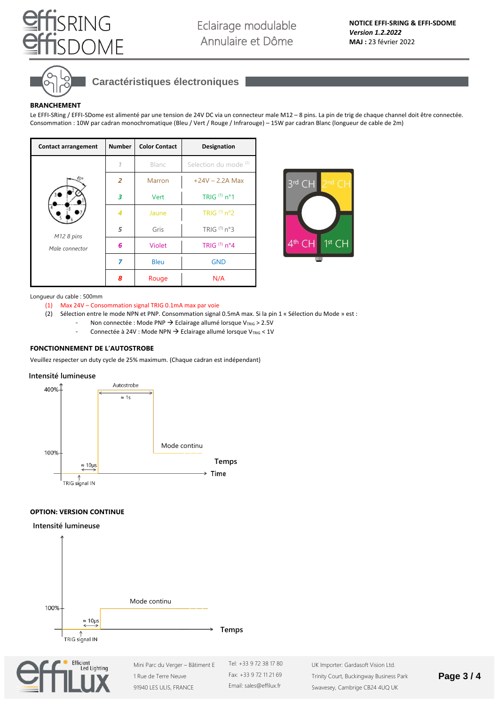



## **Caractéristiques électroniques**

#### **BRANCHEMENT**

Le EFFI-SRing / EFFI-SDome est alimenté par une tension de 24V DC via un connecteur male M12 – 8 pins. La pin de trig de chaque channel doit être connectée. Consommation : 10W par cadran monochromatique (Bleu / Vert / Rouge / Infrarouge) – 15W par cadran Blanc (longueur de cable de 2m)

| <b>Contact arrangement</b> | <b>Number</b>  | <b>Color Contact</b> | <b>Designation</b>               |
|----------------------------|----------------|----------------------|----------------------------------|
|                            |                | Blanc                | Selection du mode <sup>(2)</sup> |
|                            | $\overline{2}$ | <b>Marron</b>        | $+24V - 2.2A$ Max                |
|                            | 3              | Vert                 | TRIG (1) n°1                     |
|                            | 4              | Jaune                | TRIG $(1)$ n°2                   |
| M12 8 pins                 | 5              | Gris                 | TRIG $(1)$ n°3                   |
| Male connector             | 6              | Violet               | TRIG $(1)$ n°4                   |
|                            | 7              | <b>Bleu</b>          | <b>GND</b>                       |
|                            | 8              | Rouge                | N/A                              |



#### Longueur du cable : 500mm

- (1) Max 24V Consommation signal TRIG 0.1mA max par voie
- (2) Sélection entre le mode NPN et PNP. Consommation signal 0.5mA max. Si la pin 1 « Sélection du Mode » est :
	- Non connectée : Mode PNP → Eclairage allumé lorsque V<sub>TRIG</sub> > 2.5V
	- Connectée à 24V : Mode NPN → Eclairage allumé lorsque VTRIG < 1V

## **FONCTIONNEMENT DE L'AUTOSTROBE**

Veuillez respecter un duty cycle de 25% maximum. (Chaque cadran est indépendant)

#### **Intensité lumineuse**



### **OPTION: VERSION CONTINUE**

#### **Intensité lumineuse**





1 Rue de Terre Neuve 91940 LES ULIS, FRANCE Tel: +33 9 72 38 17 80 Fax: +33 9 72 11 21 69 Email: sales@effilux.fr